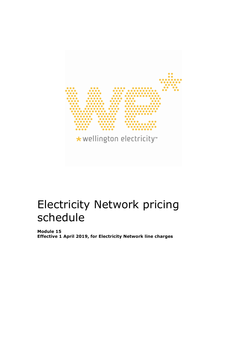

# Electricity Network pricing schedule

**Module 15 Effective 1 April 2019, for Electricity Network line charges**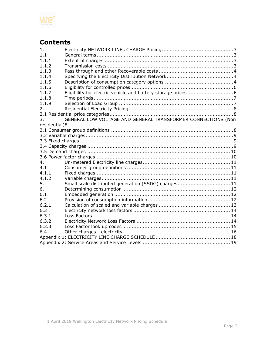

# **Contents**

| 1.            |                                                              |  |
|---------------|--------------------------------------------------------------|--|
| 1.1           |                                                              |  |
| 1.1.1         |                                                              |  |
| 1.1.2         |                                                              |  |
| 1.1.3         |                                                              |  |
| 1.1.4         |                                                              |  |
| 1.1.5         |                                                              |  |
| 1.1.6         |                                                              |  |
| 1.1.7         |                                                              |  |
| 1.1.8         |                                                              |  |
| 1.1.9         |                                                              |  |
| 2.            |                                                              |  |
|               |                                                              |  |
| 3.            | GENERAL LOW VOLTAGE AND GENERAL TRANSFORMER CONNECTIONS (Non |  |
| residential)8 |                                                              |  |
|               |                                                              |  |
|               |                                                              |  |
|               |                                                              |  |
|               |                                                              |  |
|               |                                                              |  |
|               |                                                              |  |
| 4.            |                                                              |  |
| 4.1           |                                                              |  |
| 4.1.1         |                                                              |  |
| 4.1.2         |                                                              |  |
| 5.            | Small scale distributed generation (SSDG) charges 11         |  |
| 6.            |                                                              |  |
| 6.1           |                                                              |  |
| 6.2           |                                                              |  |
| 6.2.1         |                                                              |  |
| 6.3           |                                                              |  |
| 6.3.1         |                                                              |  |
| 6.3.2         |                                                              |  |
| 6.3.3         |                                                              |  |
| 6.4           |                                                              |  |
|               |                                                              |  |
|               |                                                              |  |
|               |                                                              |  |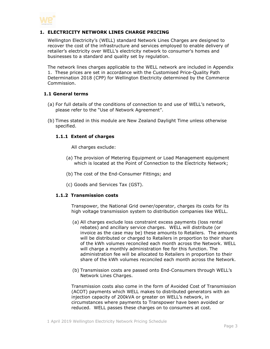

# <span id="page-2-0"></span>**1. ELECTRICITY NETWORK LINES CHARGE PRICING**

Wellington Electricity's (WELL) standard Network Lines Charges are designed to recover the cost of the infrastructure and services employed to enable delivery of retailer's electricity over WELL's electricity network to consumer's homes and businesses to a standard and quality set by regulation.

The network lines charges applicable to the WELL network are included in Appendix 1. These prices are set in accordance with the Customised Price-Quality Path Determination 2018 (CPP) for Wellington Electricity determined by the Commerce Commission.

## <span id="page-2-1"></span>**1.1 General terms**

- (a) For full details of the conditions of connection to and use of WELL's network, please refer to the "Use of Network Agreement".
- <span id="page-2-2"></span>(b) Times stated in this module are New Zealand Daylight Time unless otherwise specified.

#### **1.1.1 Extent of charges**

All charges exclude:

- (a) The provision of Metering Equipment or Load Management equipment which is located at the Point of Connection to the Electricity Network;
- (b) The cost of the End-Consumer Fittings; and
- (c) Goods and Services Tax (GST).

## <span id="page-2-3"></span>**1.1.2 Transmission costs**

Transpower, the National Grid owner/operator, charges its costs for its high voltage transmission system to distribution companies like WELL.

- (a) All charges exclude loss constraint excess payments (loss rental rebates) and ancillary service charges. WELL will distribute (or invoice as the case may be) these amounts to Retailers. The amounts will be distributed or charged to Retailers in proportion to their share of the kWh volumes reconciled each month across the Network. WELL will charge a monthly administration fee for this function. The administration fee will be allocated to Retailers in proportion to their share of the kWh volumes reconciled each month across the Network.
- (b) Transmission costs are passed onto End-Consumers through WELL's Network Lines Charges.

Transmission costs also come in the form of Avoided Cost of Transmission (ACOT) payments which WELL makes to distributed generators with an injection capacity of 200kVA or greater on WELL's network, in circumstances where payments to Transpower have been avoided or reduced. WELL passes these charges on to consumers at cost.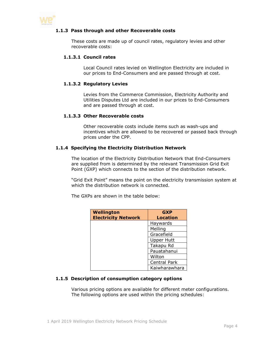<span id="page-3-0"></span>

# **1.1.3 Pass through and other Recoverable costs**

These costs are made up of council rates, regulatory levies and other recoverable costs:

## **1.1.3.1 Council rates**

Local Council rates levied on Wellington Electricity are included in our prices to End-Consumers and are passed through at cost.

#### **1.1.3.2 Regulatory Levies**

Levies from the Commerce Commission, Electricity Authority and Utilities Disputes Ltd are included in our prices to End-Consumers and are passed through at cost.

## **1.1.3.3 Other Recoverable costs**

Other recoverable costs include items such as wash-ups and incentives which are allowed to be recovered or passed back through prices under the CPP.

#### <span id="page-3-1"></span>**1.1.4 Specifying the Electricity Distribution Network**

The location of the Electricity Distribution Network that End-Consumers are supplied from is determined by the relevant Transmission Grid Exit Point (GXP) which connects to the section of the distribution network.

"Grid Exit Point" means the point on the electricity transmission system at which the distribution network is connected.

The GXPs are shown in the table below:

| <b>Wellington</b>          | <b>GXP</b>          |
|----------------------------|---------------------|
| <b>Electricity Network</b> | <b>Location</b>     |
|                            | Haywards            |
|                            | Melling             |
|                            | Gracefield          |
|                            | <b>Upper Hutt</b>   |
|                            | Takapu Rd           |
|                            | Pauatahanui         |
|                            | Wilton              |
|                            | <b>Central Park</b> |
|                            | Kaiwharawhara       |

# <span id="page-3-2"></span>**1.1.5 Description of consumption category options**

Various pricing options are available for different meter configurations. The following options are used within the pricing schedules: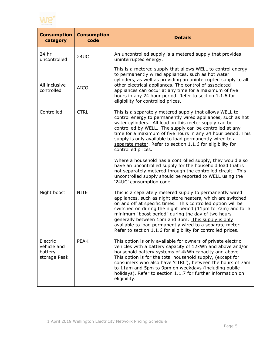

| <b>Consumption</b><br>category                     | <b>Consumption</b><br>code | <b>Details</b>                                                                                                                                                                                                                                                                                                                                                                                                                                                                                  |
|----------------------------------------------------|----------------------------|-------------------------------------------------------------------------------------------------------------------------------------------------------------------------------------------------------------------------------------------------------------------------------------------------------------------------------------------------------------------------------------------------------------------------------------------------------------------------------------------------|
| 24 hr<br>uncontrolled                              | <b>24UC</b>                | An uncontrolled supply is a metered supply that provides<br>uninterrupted energy.                                                                                                                                                                                                                                                                                                                                                                                                               |
| All inclusive<br>controlled                        | <b>AICO</b>                | This is a metered supply that allows WELL to control energy<br>to permanently wired appliances, such as hot water<br>cylinders, as well as providing an uninterrupted supply to all<br>other electrical appliances. The control of associated<br>appliances can occur at any time for a maximum of five<br>hours in any 24 hour period. Refer to section 1.1.6 for<br>eligibility for controlled prices.                                                                                        |
| Controlled                                         | <b>CTRL</b>                | This is a separately metered supply that allows WELL to<br>control energy to permanently wired appliances, such as hot<br>water cylinders. All load on this meter supply can be<br>controlled by WELL. The supply can be controlled at any<br>time for a maximum of five hours in any 24 hour period. This<br>supply is only available to load permanently wired to a<br>separate meter. Refer to section 1.1.6 for eligibility for<br>controlled prices.                                       |
|                                                    |                            | Where a household has a controlled supply, they would also<br>have an uncontrolled supply for the household load that is<br>not separately metered through the controlled circuit. This<br>uncontrolled supply should be reported to WELL using the<br>'24UC' consumption code.                                                                                                                                                                                                                 |
| Night boost                                        | <b>NITE</b>                | This is a separately metered supply to permanently wired<br>appliances, such as night store heaters, which are switched<br>on and off at specific times. This controlled option will be<br>switched on during the night period (11pm to 7am) and for a<br>minimum "boost period" during the day of two hours<br>generally between 1pm and 3pm. This supply is only<br>available to load permanently wired to a separate meter.<br>Refer to section 1.1.6 for eligibility for controlled prices. |
| Electric<br>vehicle and<br>battery<br>storage Peak | <b>PEAK</b>                | This option is only available for owners of private electric<br>vehicles with a battery capacity of 12kWh and above and/or<br>household battery systems of 4kWh capacity and above.<br>This option is for the total household supply, (except for<br>consumers who also have 'CTRL'), between the hours of 7am<br>to 11am and 5pm to 9pm on weekdays (including public<br>holidays). Refer to section 1.1.7 for further information on<br>eligibility.                                          |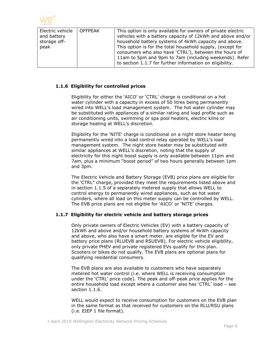

| Electric vehicle<br>and battery<br>storage off-<br>peak | <b>OFFPEAK</b> | This option is only available for owners of private electric<br>vehicles with a battery capacity of 12kWh and above and/or<br>household battery systems of 4kWh capacity and above.<br>This option is for the total household supply, (except for<br>consumers who also have 'CTRL'), between the hours of<br>11am to 5pm and 9pm to 7am (including weekends). Refer |
|---------------------------------------------------------|----------------|----------------------------------------------------------------------------------------------------------------------------------------------------------------------------------------------------------------------------------------------------------------------------------------------------------------------------------------------------------------------|
|                                                         |                | to section 1.1.7 for further information on eligibility.                                                                                                                                                                                                                                                                                                             |

# <span id="page-5-0"></span>**1.1.6 Eligibility for controlled prices**

Eligibility for either the 'AICO' or 'CTRL' charge is conditional on a hot water cylinder with a capacity in excess of 50 litres being permanently wired into WELL's load management system. The hot water cylinder may be substituted with appliances of a similar rating and load profile such as air conditioning units, swimming or spa pool heaters, electric kilns or storage heating at WELL's discretion.

Eligibility for the 'NITE' charge is conditional on a night store heater being permanently wired into a load control relay operated by WELL's load management system. The night store heater may be substituted with similar appliances at WELL's discretion, noting that the supply of electricity for this night boost supply is only available between 11pm and 7am, plus a minimum "boost period" of two hours generally between 1pm and 3pm.

The Electric Vehicle and Battery Storage (EVB) price plans are eligible for the 'CTRL" charge, provided they meet the requirements listed above and in section 1.1.5 of a separately metered supply that allows WELL to control energy to permanently wired appliances, such as hot water cylinders, where all load on this meter supply can be controlled by WELL. The EVB price plans are not eligible for 'AICO' or 'NITE' charges.

# <span id="page-5-1"></span>**1.1.7 Eligibility for electric vehicle and battery storage prices**

Only private owners of Electric Vehicles (EV) with a battery capacity of 12kWh and above and/or household battery systems of 4kWh capacity and above, who also have a smart meter, are eligible for the EV and battery price plans (RLUEVB and RSUEVB). For electric vehicle eligibility, only private PHEV and private registered EVs qualify for this plan. Scooters or bikes do not qualify. The EVB plans are optional plans for qualifying residential consumers.

The EVB plans are also available to customers who have separately metered hot water control (i.e. where WELL is receiving consumption under the 'CTRL' price code). The peak and off-peak price applies for the entire household load except where a customer also has 'CTRL' load – see section 1.1.6.

WELL would expect to receive consumption for customers on the EVB plan in the same format as that received for customers on the RLU/RSU plans (i.e. EIEP 1 file format).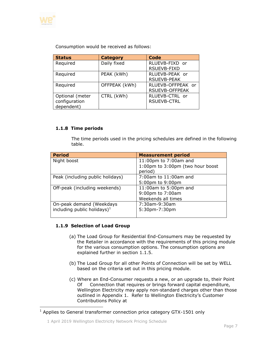

Consumption would be received as follows:

| <b>Status</b>   | <b>Category</b> | <b>Code</b>           |
|-----------------|-----------------|-----------------------|
| Required        | Daily fixed     | RLUEVB-FIXD or        |
|                 |                 | RSUEVB-FIXD           |
| Required        | PEAK (kWh)      | RLUEVB-PEAK or        |
|                 |                 | <b>RSUEVB-PEAK</b>    |
| Required        | OFFPEAK (kWh)   | RLUEVB-OFFPEAK or     |
|                 |                 | <b>RSUEVB-OFFPEAK</b> |
| Optional (meter | CTRL (kWh)      | RLUEVB-CTRL or        |
| configuration   |                 | <b>RSUEVB-CTRL</b>    |
| dependent)      |                 |                       |

# <span id="page-6-0"></span>**1.1.8 Time periods**

The time periods used in the pricing schedules are defined in the following table.

| <b>Period</b>                    | <b>Measurement period</b>        |
|----------------------------------|----------------------------------|
| Night boost                      | 11:00pm to 7:00am and            |
|                                  | 1:00pm to 3:00pm (two hour boost |
|                                  | period)                          |
| Peak (including public holidays) | 7:00am to 11:00am and            |
|                                  | 5:00pm to 9:00pm                 |
| Off-peak (including weekends)    | 11:00am to 5:00pm and            |
|                                  | 9:00pm to 7:00am                 |
|                                  | Weekends all times               |
| On-peak demand (Weekdays         | 7:30am-9:30am                    |
| including public holidays) $1$   | 5:30pm-7:30pm                    |
|                                  |                                  |

# <span id="page-6-1"></span>**1.1.9 Selection of Load Group**

- (a) The Load Group for Residential End-Consumers may be requested by the Retailer in accordance with the requirements of this pricing module for the various consumption options. The consumption options are explained further in section 1.1.5.
- (b) The Load Group for all other Points of Connection will be set by WELL based on the criteria set out in this pricing module.
- (c) Where an End-Consumer requests a new, or an upgrade to, their Point Of Connection that requires or brings forward capital expenditure, Wellington Electricity may apply non-standard charges other than those outlined in Appendix 1. Refer to Wellington Electricity's Customer Contributions Policy at

 $1$  Applies to General transformer connection price category GTX-1501 only

<sup>1</sup> April 2019 Wellington Electricity Network Pricing Schedule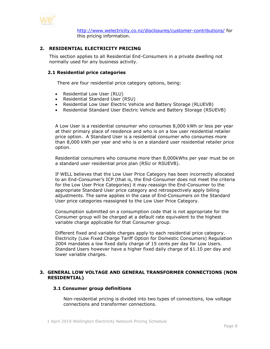

<http://www.welectricity.co.nz/disclosures/customer-contributions/> for this pricing information.

# <span id="page-7-0"></span>**2. RESIDENTIAL ELECTRICITY PRICING**

This section applies to all Residential End-Consumers in a private dwelling not normally used for any business activity.

#### <span id="page-7-1"></span>**2.1 Residential price categories**

There are four residential price category options, being:

- Residential Low User (RLU)
- Residential Standard User (RSU)
- Residential Low User Electric Vehicle and Battery Storage (RLUEVB)
- Residential Standard User Electric Vehicle and Battery Storage (RSUEVB)

A Low User is a residential consumer who consumes 8,000 kWh or less per year at their primary place of residence and who is on a low user residential retailer price option. A Standard User is a residential consumer who consumes more than 8,000 kWh per year and who is on a standard user residential retailer price option.

Residential consumers who consume more than 8,000kWhs per year must be on a standard user residential price plan (RSU or RSUEVB).

If WELL believes that the Low User Price Category has been incorrectly allocated to an End-Consumer's ICP (that is, the End-Consumer does not meet the criteria for the Low User Price Categories) it may reassign the End-Consumer to the appropriate Standard User price category and retrospectively apply billing adjustments. The same applies in the case of End-Consumers on the Standard User price categories reassigned to the Low User Price Category.

Consumption submitted on a consumption code that is not appropriate for the Consumer group will be charged at a default rate equivalent to the highest variable charge applicable for that Consumer group.

Different fixed and variable charges apply to each residential price category. Electricity (Low Fixed Charge Tariff Option for Domestic Consumers) Regulation 2004 mandates a low fixed daily charge of 15 cents per day for Low Users. Standard Users however have a higher fixed daily charge of \$1.10 per day and lower variable charges.

## <span id="page-7-3"></span><span id="page-7-2"></span>**3. GENERAL LOW VOLTAGE AND GENERAL TRANSFORMER CONNECTIONS (NON RESIDENTIAL)**

#### **3.1 Consumer group definitions**

Non-residential pricing is divided into two types of connections, low voltage connections and transformer connections.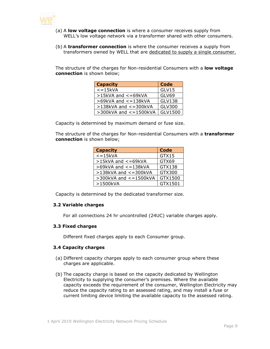

- (a) A **low voltage connection** is where a consumer receives supply from WELL's low voltage network via a transformer shared with other consumers.
- (b) A **transformer connection** is where the consumer receives a supply from transformers owned by WELL that are dedicated to supply a single consumer.

The structure of the charges for Non-residential Consumers with a **low voltage connection** is shown below;

| <b>Capacity</b>              | <b>Code</b>   |
|------------------------------|---------------|
| $\epsilon = 15kVA$           | GLV15         |
| $>15$ kVA and $<=69$ kVA     | GLV69         |
| >69kVA and <= 138kVA         | <b>GLV138</b> |
| $>138$ kVA and $<=300$ kVA   | GLV300        |
| $>$ 300kVA and $<$ = 1500kVA | GLV1500       |

Capacity is determined by maximum demand or fuse size.

The structure of the charges for Non-residential Consumers with a **transformer connection** is shown below;

| <b>Capacity</b>              | <b>Code</b> |
|------------------------------|-------------|
| $\overline{\le}$ = 15kVA     | GTX15       |
| $>15kVA$ and $<=69kVA$       | GTX69       |
| $>69$ kVA and $<=138$ kVA    | GTX138      |
| $>138$ kVA and $<=300$ kVA   | GTX300      |
| $>$ 300kVA and $<$ = 1500kVA | GTX1500     |
| >1500kVA                     | GTX1501     |

Capacity is determined by the dedicated transformer size.

## <span id="page-8-0"></span>**3.2 Variable charges**

For all connections 24 hr uncontrolled (24UC) variable charges apply.

#### <span id="page-8-1"></span>**3.3 Fixed charges**

Different fixed charges apply to each Consumer group.

## <span id="page-8-2"></span>**3.4 Capacity charges**

- (a) Different capacity charges apply to each consumer group where these charges are applicable.
- (b) The capacity charge is based on the capacity dedicated by Wellington Electricity to supplying the consumer's premises. Where the available capacity exceeds the requirement of the consumer, Wellington Electricity may reduce the capacity rating to an assessed rating, and may install a fuse or current limiting device limiting the available capacity to the assessed rating.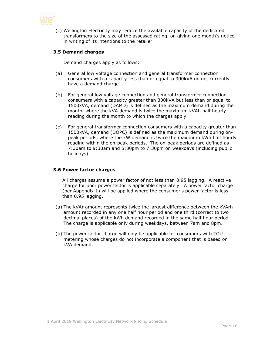

(c) Wellington Electricity may reduce the available capacity of the dedicated transformers to the size of the assessed rating, on giving one month's notice in writing of its intentions to the retailer.

# <span id="page-9-0"></span>**3.5 Demand charges**

Demand charges apply as follows:

- (a) General low voltage connection and general transformer connection consumers with a capacity less than or equal to 300kVA do not currently have a demand charge.
- (b) For general low voltage connection and general transformer connection consumers with a capacity greater than 300kVA but less than or equal to 1500kVA, demand (DAMD) is defined as the maximum demand during the month, where the kVA demand is twice the maximum kVAh half hourly reading during the month to which the charges apply.
- (c) For general transformer connection consumers with a capacity greater than 1500kVA, demand (DOPC) is defined as the maximum demand during onpeak periods, where the kW demand is twice the maximum kWh half hourly reading within the on-peak periods. The on-peak periods are defined as 7:30am to 9:30am and 5:30pm to 7:30pm on weekdays (including public holidays).

## <span id="page-9-1"></span>**3.6 Power factor charges**

All charges assume a power factor of not less than 0.95 lagging. A reactive charge for poor power factor is applicable separately. A power factor charge (per Appendix 1) will be applied where the consumer's power factor is less than 0.95 lagging.

- (a) The kVAr amount represents twice the largest difference between the kVArh amount recorded in any one half hour period and one third (correct to two decimal places) of the kWh demand recorded in the same half hour period. The charge is applicable only during weekdays, between 7am and 8pm.
- (b) The power factor charge will only be applicable for consumers with TOU metering whose charges do not incorporate a component that is based on kVA demand.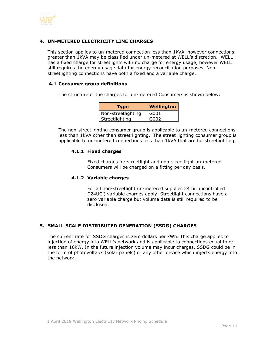

# <span id="page-10-0"></span>**4. UN-METERED ELECTRICITY LINE CHARGES**

This section applies to un-metered connection less than 1kVA, however connections greater than 1kVA may be classified under un-metered at WELL's discretion. WELL has a fixed charge for streetlights with no charge for energy usage, however WELL still requires the energy usage data for energy reconciliation purposes. Nonstreetlighting connections have both a fixed and a variable charge.

# <span id="page-10-1"></span>**4.1 Consumer group definitions**

The structure of the charges for un-metered Consumers is shown below:

| <b>Type</b>        | <b>Wellington</b> |
|--------------------|-------------------|
| Non-streetlighting | G001              |
| Streetlighting     | G002              |

<span id="page-10-2"></span>The non-streetlighting consumer group is applicable to un-metered connections less than 1kVA other than street lighting. The street lighting consumer group is applicable to un-metered connections less than 1kVA that are for streetlighting.

# **4.1.1 Fixed charges**

Fixed charges for streetlight and non-streetlight un-metered Consumers will be charged on a fitting per day basis.

## <span id="page-10-3"></span>**4.1.2 Variable charges**

For all non-streetlight un-metered supplies 24 hr uncontrolled ('24UC') variable charges apply. Streetlight connections have a zero variable charge but volume data is still required to be disclosed.

## <span id="page-10-4"></span>**5. SMALL SCALE DISTRIBUTED GENERATION (SSDG) CHARGES**

The current rate for SSDG charges is zero dollars per kWh. This charge applies to injection of energy into WELL's network and is applicable to connections equal to or less than 10kW. In the future injection volume may incur charges. SSDG could be in the form of photovoltaics (solar panels) or any other device which injects energy into the network.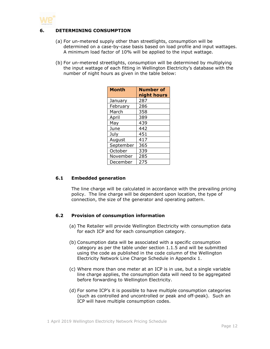

# **6. DETERMINING CONSUMPTION**

- <span id="page-11-0"></span>(a) For un-metered supply other than streetlights, consumption will be determined on a case-by-case basis based on load profile and input wattages. A minimum load factor of 10% will be applied to the input wattage.
- (b) For un-metered streetlights, consumption will be determined by multiplying the input wattage of each fitting in Wellington Electricity's database with the number of night hours as given in the table below:

| <b>Month</b> | <b>Number of</b> |
|--------------|------------------|
|              | night hours      |
| January      | 287              |
| February     | 286              |
| March        | 358              |
| April        | 389              |
| May          | 439              |
| June         | 442              |
| July         | 451              |
| August       | 417              |
| September    | 365              |
| October      | 339              |
| November     | 285              |
| December     | 275              |

# <span id="page-11-1"></span>**6.1 Embedded generation**

The line charge will be calculated in accordance with the prevailing pricing policy. The line charge will be dependent upon location, the type of connection, the size of the generator and operating pattern.

# <span id="page-11-2"></span>**6.2 Provision of consumption information**

- (a) The Retailer will provide Wellington Electricity with consumption data for each ICP and for each consumption category.
- (b) Consumption data will be associated with a specific consumption category as per the table under section 1.1.5 and will be submitted using the code as published in the code column of the Wellington Electricity Network Line Charge Schedule in Appendix 1.
- (c) Where more than one meter at an ICP is in use, but a single variable line charge applies, the consumption data will need to be aggregated before forwarding to Wellington Electricity.
- (d) For some ICP's it is possible to have multiple consumption categories (such as controlled and uncontrolled or peak and off-peak). Such an ICP will have multiple consumption codes.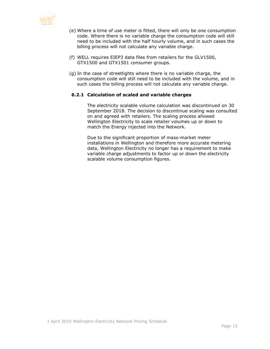

- (e) Where a time of use meter is fitted, there will only be one consumption code. Where there is no variable charge the consumption code will still need to be included with the half hourly volume, and in such cases the billing process will not calculate any variable charge.
- (f) WELL requires EIEP3 data files from retailers for the GLV1500, GTX1500 and GTX1501 consumer groups.
- (g) In the case of streetlights where there is no variable charge, the consumption code will still need to be included with the volume, and in such cases the billing process will not calculate any variable charge.

## <span id="page-12-0"></span>**6.2.1 Calculation of scaled and variable charges**

The electricity scalable volume calculation was discontinued on 30 September 2018. The decision to discontinue scaling was consulted on and agreed with retailers. The scaling process allowed Wellington Electricity to scale retailer volumes up or down to match the Energy injected into the Network.

Due to the significant proportion of mass-market meter installations in Wellington and therefore more accurate metering data, Wellington Electricity no longer has a requirement to make variable charge adjustments to factor up or down the electricity scalable volume consumption figures.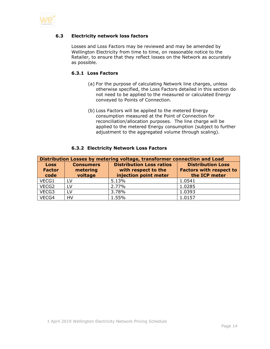<span id="page-13-0"></span>

# **6.3 Electricity network loss factors**

Losses and Loss Factors may be reviewed and may be amended by Wellington Electricity from time to time, on reasonable notice to the Retailer, to ensure that they reflect losses on the Network as accurately as possible.

# <span id="page-13-1"></span>**6.3.1 Loss Factors**

- (a) For the purpose of calculating Network line charges, unless otherwise specified, the Loss Factors detailed in this section do not need to be applied to the measured or calculated Energy conveyed to Points of Connection.
- (b) Loss Factors will be applied to the metered Energy consumption measured at the Point of Connection for reconciliation/allocation purposes. The line charge will be applied to the metered Energy consumption (subject to further adjustment to the aggregated volume through scaling).

<span id="page-13-2"></span>

| Distribution Losses by metering voltage, transformer connection and Load |                                         |                                                                                 |                                                                             |
|--------------------------------------------------------------------------|-----------------------------------------|---------------------------------------------------------------------------------|-----------------------------------------------------------------------------|
| <b>Loss</b><br><b>Factor</b><br>code                                     | <b>Consumers</b><br>metering<br>voltage | <b>Distribution Loss ratios</b><br>with respect to the<br>injection point meter | <b>Distribution Loss</b><br><b>Factors with respect to</b><br>the ICP meter |
| VECG1                                                                    | LV                                      | 5.13%                                                                           | 1.0541                                                                      |
| VECG2                                                                    | LV                                      | 2.77%                                                                           | 1.0285                                                                      |
| VECG3                                                                    | LV                                      | 3.78%                                                                           | 1.0393                                                                      |
| VECG4                                                                    | HV                                      | 1.55%                                                                           | 1.0157                                                                      |

#### **6.3.2 Electricity Network Loss Factors**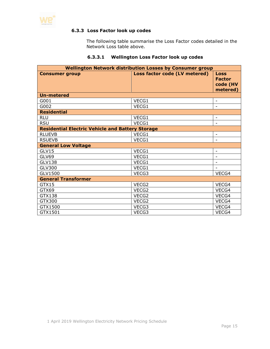<span id="page-14-0"></span>

# **6.3.3 Loss Factor look up codes**

The following table summarise the Loss Factor codes detailed in the Network Loss table above.

#### **6.3.3.1 Wellington Loss Factor look up codes**

| <b>Wellington Network distribution Losses by Consumer group</b> |                               |                                                      |  |
|-----------------------------------------------------------------|-------------------------------|------------------------------------------------------|--|
| <b>Consumer group</b>                                           | Loss factor code (LV metered) | <b>Loss</b><br><b>Factor</b><br>code (HV<br>metered) |  |
| <b>Un-metered</b>                                               |                               |                                                      |  |
| G001                                                            | VECG1                         |                                                      |  |
| G002                                                            | VECG1                         |                                                      |  |
| <b>Residential</b>                                              |                               |                                                      |  |
| <b>RLU</b>                                                      | VECG1                         |                                                      |  |
| <b>RSU</b>                                                      | VECG1                         |                                                      |  |
| <b>Residential Electric Vehicle and Battery Storage</b>         |                               |                                                      |  |
| <b>RLUEVB</b>                                                   | VECG1                         | $\overline{\phantom{a}}$                             |  |
| <b>RSUEVB</b>                                                   | VECG1                         |                                                      |  |
| <b>General Low Voltage</b>                                      |                               |                                                      |  |
| GLV15                                                           | VECG1                         |                                                      |  |
| GLV69                                                           | VECG1                         |                                                      |  |
| <b>GLV138</b>                                                   | VECG1                         |                                                      |  |
| GLV300                                                          | VECG1                         |                                                      |  |
| GLV1500                                                         | VECG3                         | VECG4                                                |  |
| <b>General Transformer</b>                                      |                               |                                                      |  |
| GTX15                                                           | VECG2                         | VECG4                                                |  |
| GTX69                                                           | VECG2                         | VECG4                                                |  |
| GTX138                                                          | VECG2                         | VECG4                                                |  |
| GTX300                                                          | VECG2                         | VECG4                                                |  |
| GTX1500                                                         | VECG3                         | VECG4                                                |  |
| GTX1501                                                         | VECG3                         | VECG4                                                |  |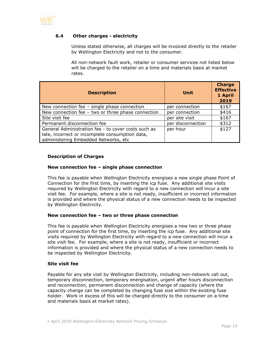

# **6.4 Other charges - electricity**

<span id="page-15-0"></span>Unless stated otherwise, all charges will be invoiced directly to the retailer by Wellington Electricity and not to the consumer.

All non-network fault work, retailer or consumer services not listed below will be charged to the retailer on a time and materials basis at market rates.

| <b>Description</b>                                                                                                                             | Unit              | <b>Charge</b><br><b>Effective</b><br>1 April<br>2019 |
|------------------------------------------------------------------------------------------------------------------------------------------------|-------------------|------------------------------------------------------|
| New connection fee $-$ single phase connection                                                                                                 | per connection    | \$167                                                |
| New connection fee $-$ two or three phase connection                                                                                           | per connection    | \$416                                                |
| Site visit fee                                                                                                                                 | per site visit    | \$167                                                |
| Permanent disconnection fee                                                                                                                    | per disconnection | \$312                                                |
| General Administration fee - to cover costs such as<br>late, incorrect or incomplete consumption data,<br>administering Embedded Networks, etc | per hour          | \$127                                                |

# **Description of Charges**

#### **New connection fee – single phase connection**

This fee is payable when Wellington Electricity energises a new single phase Point of Connection for the first time, by inserting the icp fuse. Any additional site visits required by Wellington Electricity with regard to a new connection will incur a site visit fee. For example, where a site is not ready, insufficient or incorrect information is provided and where the physical status of a new connection needs to be inspected by Wellington Electricity.

#### **New connection fee – two or three phase connection**

This fee is payable when Wellington Electricity energises a new two or three phase point of connection for the first time, by inserting the icp fuse. Any additional site visits required by Wellington Electricity with regard to a new connection will incur a site visit fee. For example, where a site is not ready, insufficient or incorrect information is provided and where the physical status of a new connection needs to be inspected by Wellington Electricity.

#### **Site visit fee**

Payable for any site visit by Wellington Electricity, including non-network call out, temporary disconnection, temporary energisation, urgent after hours disconnection and reconnection, permanent disconnection and change of capacity (where the capacity change can be completed by changing fuse size within the existing fuse holder. Work in excess of this will be charged directly to the consumer on a time and materials basis at market rates).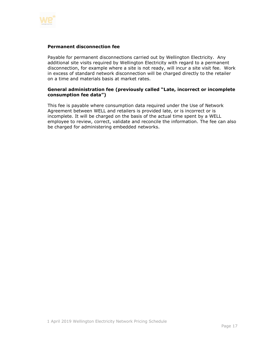

#### **Permanent disconnection fee**

Payable for permanent disconnections carried out by Wellington Electricity. Any additional site visits required by Wellington Electricity with regard to a permanent disconnection, for example where a site is not ready, will incur a site visit fee. Work in excess of standard network disconnection will be charged directly to the retailer on a time and materials basis at market rates.

## **General administration fee (previously called "Late, incorrect or incomplete consumption fee data")**

This fee is payable where consumption data required under the Use of Network Agreement between WELL and retailers is provided late, or is incorrect or is incomplete. It will be charged on the basis of the actual time spent by a WELL employee to review, correct, validate and reconcile the information. The fee can also be charged for administering embedded networks.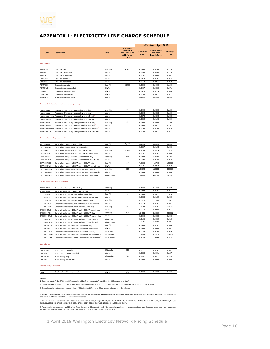

# <span id="page-17-0"></span>**APPENDIX 1: ELECTRICITY LINE CHARGE SCHEDULE**

|                                                  |                                                                                     |                |                                                                        | effective 1 April 2019       |                                                               |                          |  |
|--------------------------------------------------|-------------------------------------------------------------------------------------|----------------|------------------------------------------------------------------------|------------------------------|---------------------------------------------------------------|--------------------------|--|
| Code                                             | <b>Description</b>                                                                  | <b>Units</b>   | <b>Estimated</b><br>number of<br>consumers as<br>at 31 January<br>2019 | <b>Distribution</b><br>price | <b>Transmission</b><br>and pass<br>through Price <sup>6</sup> | <b>Delivery</b><br>Price |  |
| <b>Residential</b>                               |                                                                                     |                |                                                                        |                              |                                                               |                          |  |
| <b>RLU-FIXD</b>                                  | I ow user daily                                                                     | \$/con/day     | 91.840                                                                 | 0.0900                       | 0.0600                                                        | 0.1500                   |  |
| RLU-24UC                                         | Low user uncontrolled                                                               | \$/kWh         |                                                                        | 0.0730                       | 0.0404                                                        | 0.1134                   |  |
| RLU-AICO                                         | Low user all inclusive                                                              | \$/kWh         |                                                                        | 0.0586                       | 0.0324                                                        | 0.0910                   |  |
| <b>RLU-CTRL</b>                                  | Low user controlled                                                                 | \$/kWh         |                                                                        | 0.0352                       | 0.0195                                                        | 0.0547                   |  |
| <b>RLU-NITE</b>                                  | Low user night boost                                                                | \$/kWh         |                                                                        | 0.0119                       | 0.0066                                                        | 0.0185                   |  |
| RSU-FIXD                                         | Standard user daily                                                                 | \$/con/day     | 58.799                                                                 | 0.6600                       | 0.4400                                                        | 1.1000                   |  |
| RSU-24UC                                         | Standard user uncontrolled                                                          | \$/kWh         |                                                                        | 0.0457                       | 0.0254                                                        | 0.0711                   |  |
| RSU-AICO                                         | Standard user all inclusive                                                         | \$/kWh         |                                                                        | 0.0315                       | 0.0174                                                        | 0.0489                   |  |
| <b>RSU-CTRL</b>                                  | Standard user controlled                                                            | \$/kWh         |                                                                        | 0.0140                       | 0.0077                                                        | 0.0217                   |  |
| RSU-NITE                                         | Standard user night boost                                                           | \$/kWh         |                                                                        | 0.0109                       | 0.0060                                                        | 0.0169                   |  |
| Residential electric vehicle and battery storage |                                                                                     |                |                                                                        |                              |                                                               |                          |  |
| RLUEVB-FIXD                                      | Residential EV & battery storage low user daily                                     | \$/con/day     | 37                                                                     | 0.0900                       | 0.0600                                                        | 0.1500                   |  |
| <b>RLUEVB-PEAK</b>                               | Residential EV & battery storage low user peak                                      | \$/kWh         |                                                                        | 0.0846                       | 0.0656                                                        | 0.1502                   |  |
|                                                  | RLUEVB-OFFPEAK Residential EV & battery storage low user off-peak <sup>2</sup>      | \$/kWh         |                                                                        | 0.0376                       | 0.0292                                                        | 0.0668                   |  |
| <b>RLUEVB-CTRL</b>                               | Residential EV & battery storage low user controlled                                | \$/kWh         |                                                                        | 0.0352                       | 0.0195                                                        | 0.0547                   |  |
| RSUEVB-FIXD                                      | Residential EV & battery storage standard user daily                                | \$/con/day     | 50                                                                     | 0.6600                       | 0.4400                                                        | 1.1000                   |  |
| RSUEVB-PEAK                                      | Residential EV & battery storage standard user peak                                 | \$/kWh         |                                                                        | 0.0608                       | 0.0471                                                        | 0.1079                   |  |
|                                                  | RSUEVB-OFFPEAI Residential EV & battery storage standard user off-peak <sup>2</sup> | \$/kWh         |                                                                        | 0.0138                       | 0.0106                                                        | 0.0244                   |  |
| RSUEVB-CTRL                                      | Residential EV & battery storage standard user controlled                           | \$/kWh         |                                                                        | 0.0140                       | 0.0077                                                        | 0.0217                   |  |
|                                                  | General low voltage connection                                                      |                |                                                                        |                              |                                                               |                          |  |
| GLV15-FIXD                                       | General low voltage <= 15kVA daily                                                  | \$/con/day     | 5,107                                                                  | 0.3948                       | 0.2191                                                        | 0.6139                   |  |
| GLV15-24UC                                       | General low voltage <= 15kVA uncontrolled                                           | \$/kWh         |                                                                        | 0.0357                       | 0.0198                                                        | 0.0555                   |  |
| GLV69-FIXD                                       | General low voltage >15kVA and <= 69kVA daily                                       | \$/con/day     | 9,909                                                                  | 0.9766                       | 0.5419                                                        | 1.5185                   |  |
| GLV69-24UC                                       | General low voltage >15kVA and <= 69kVA uncontrolled                                | \$/kWh         |                                                                        | 0.0247                       | 0.0137                                                        | 0.0384                   |  |
| GLV138-FIXD                                      | General low voltage >69kVA and <= 138kVA daily                                      | \$/con/day     | 396                                                                    | 5.5338                       | 3.0707                                                        | 8.6045                   |  |
| GLV138-24UC                                      | General low voltage >69kVA and <= 138kVA uncontrolled                               | \$/kWh         |                                                                        | 0.0293                       | 0.0163                                                        | 0.0456                   |  |
| GLV300-FIXD                                      | General low voltage >138kVA and <= 300kVA daily                                     | \$/con/day     | 339                                                                    | 7.8828                       | 4.3742                                                        | 12.2570                  |  |
| GLV300-24UC                                      | General low voltage >138kVA and <= 300kVA uncontrolled                              | \$/kWh         |                                                                        | 0.0121                       | 0.0068                                                        | 0.0189                   |  |
| GLV1500-FIXD                                     | General low voltage >300kVA and <= 1500kVA daily                                    | \$/con/day     | 212                                                                    | 19.8773                      | 11.0299                                                       | 30.9072                  |  |
| GLV1500-24UC                                     | General low voltage >300kVA and <= 1500kVA uncontrolled                             | \$/kWh         |                                                                        | 0.0054                       | 0.0030                                                        | 0.0084                   |  |
| GLV1500-DAMD                                     | General low voltage >300kVA and <= 1500kVA demand                                   | \$/kVA/month   |                                                                        | 4.8214                       | 2.6754                                                        | 7.4968                   |  |
| <b>General transformer connection</b>            |                                                                                     |                |                                                                        |                              |                                                               |                          |  |
| GTX15-FIXD                                       | General transformer <= 15kVA daily                                                  | \$/con/day     | $\overline{2}$                                                         | 0.3584                       | 0.1990                                                        | 0.5574                   |  |
| GTX15-24UC                                       | General transformer <= 15kVA uncontrolled                                           | \$/kWh         |                                                                        | 0.0332                       | 0.0185                                                        | 0.0517                   |  |
| GTX69-FIXD                                       | General transformer >15kVA and <= 69kVA daily                                       | \$/con/day     | 19                                                                     | 0.8863                       | 0.4917                                                        | 1.3780                   |  |
| GTX69-24UC                                       | General transformer >15kVA and <= 69kVA uncontrolled                                | \$/kWh         |                                                                        | 0.0233                       | 0.0129                                                        | 0.0362                   |  |
| GTX138-FIXD                                      | General transformer >69kVA and <= 138kVA daily                                      | \$/con/day     | 17                                                                     | 5.0213                       | 2.7863                                                        | 7.8076                   |  |
| GTX138-24UC                                      | General transformer >69kVA and <= 138kVA uncontrolled                               | \$/kWh         |                                                                        | 0.0274                       | 0.0152                                                        | 0.0426                   |  |
| GTX300-FIXD                                      | General transformer >138kVA and <= 300kVA daily                                     | \$/con/day     | 93                                                                     | 7.1528                       | 3.9691                                                        | 11.1219                  |  |
| GTX300-24UC                                      | General transformer >138kVA and <= 300kVA uncontrolled                              | \$/kWh         |                                                                        | 0.0113                       | 0.0063                                                        | 0.0176                   |  |
| GTX1500-FIXD                                     | General transformer >300kVA and <= 1500kVA daily                                    | \$/con/day     | 192                                                                    | 15.4332                      | 8.5639                                                        | 23.9971                  |  |
| GTX1500-24UC                                     | General transformer >300kVA and <= 1500kVA uncontrolled                             | \$/kWh         |                                                                        | 0.0044                       | 0.0024                                                        | 0.0068                   |  |
| GTX1500-CAPY                                     | General transformer >300kVA and <= 1500kVA capacity                                 | \$/kVA/day     |                                                                        | 0.0105                       | 0.0059                                                        | 0.0164                   |  |
| GTX1500-DAMD                                     | General transformer >300kVA and <= 1500kVA demand                                   | \$/kVA/month   |                                                                        | 4.0526                       | 2.2487                                                        | 6.3013                   |  |
| GTX1501-FIXD                                     | General transformer >1500kVA connection daily                                       | \$/con/day     | 33                                                                     | 0.0343                       | 0.0191                                                        | 0.0534                   |  |
| GTX1501-24UC                                     | General transformer >1500kVA connection uncontrolled                                | \$/kWh         |                                                                        | 0.0009                       | 0.0006                                                        | 0.0015                   |  |
| GTX1501-CAPY                                     | General transformer >1500kVA connection capacity                                    | \$/kVA/day     |                                                                        | 0.0186                       | 0.0104                                                        | 0.0290                   |  |
| GTX1501-DOPC                                     | General transformer >1500kVA connection on-peak demand <sup>3</sup>                 | \$/kW/month    |                                                                        | 7.6356                       | 4.2370                                                        | 11.8726                  |  |
| GTX1501-PWRF                                     | General transformer, >1500kVA connection, pow er factor <sup>4</sup>                | \$/kVAr/month  |                                                                        | 5.5135                       | 3.0595                                                        | 8.5730                   |  |
| <b>Unmetered</b>                                 |                                                                                     |                |                                                                        |                              |                                                               |                          |  |
| G001-FIXD                                        | Non-street lighting daily                                                           | \$/fitting/day | 518                                                                    | 0.0272                       | 0.0151                                                        | 0.0423                   |  |
| G001-24UC                                        | Non-street lighting uncontrolled                                                    | \$/kWh         |                                                                        | 0.0883                       | 0.0491                                                        | 0.1374                   |  |
| G002-FIXD                                        | Street lighting daily                                                               | \$/fitting/day | 323                                                                    | 0.1457                       | 0.0811                                                        | 0.2268                   |  |
| G002-24UC                                        | Street lighting uncontrolled                                                        | \$/kWh         |                                                                        | 0.0000                       | 0.0000                                                        | 0.0000                   |  |
| <b>Distributed generation</b>                    |                                                                                     |                |                                                                        |                              |                                                               |                          |  |
| *DGEN                                            | Small scale distributed generation <sup>5</sup>                                     | \$/kWh         | n/a                                                                    | 0.0000                       | 0.0000                                                        | 0.0000                   |  |
|                                                  |                                                                                     |                |                                                                        |                              |                                                               |                          |  |

**Notes:**

1. Peak: Monday to Friday 07:00 - 11:00 (incl. public holidays); and Monday to Friday 17:00 - 21:00 (incl. public holidays)

2. Offpeak: Monday to Friday 11:00 - 17.00 (incl. public holidays); Monday to Friday 21:00 - 07:00 (incl. public holidays); and Saturday and Sunday all times<br>3. Charge is applicable to demand measured from 7:30 to 9:30 and

2. Offpeak: Monday to Friday 11:00 - 17.00 (incl. public holidays); Monday to Friday 21:00 - 07:00 (incl. public holidays); and Saturday and Sunday all times<br>3. Charge is applicable to demand measured from 7:30 to 9:30 and 4. Charge is applicable for power factor <0.95 from 07:00 to 20:00 on weekdays where the KVAr charge amount represents twice the largest difference between the recorded KVArh<br>and one third of the recorded KWh in any one ha

5. WE\* has various codes for small scale distributed generation volumes, being RLU-DGEN, RSU-DGEN, RSU-ROGEN, GLVG9-DGEN, GLV50-DGEN, GLV138-DGEN, GLV330-DGEN, GLV330-DGEN, GLV300-<br>DGEN, GLV1500-DGEN, GTX15-DGEN, GTX69-DGE

and one third of the recorded KWh in any one half-hour period.<br>5. WE\* has various codes for small scale distributed generation volumes, being RLU-DGEN, RSU-DGEN, RSUEV-DGEN, DEV-DGEN, DEV-DGEN, GLV338-DGEN, GLV338-DGEN, GL